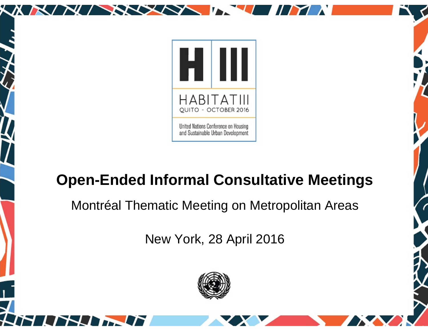

XXXX

## **Open-Ended Informal Consultative Meetings**

Montréal Thematic Meeting on Metropolitan Areas

New York, 28 April 2016

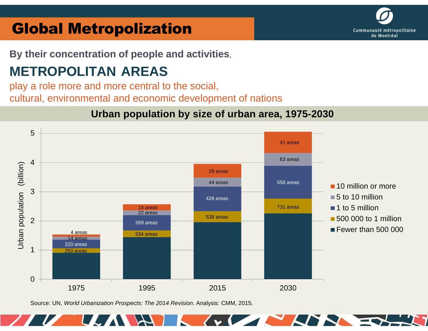## **Global Metropolization**

**By their concentration of people and activities**,

# **METROPOLITAN AREAS**

play a role more and more central to the social, cultural, environmental and economic development of nations



#### **Urban population by size of urban area, 1975-2030**

Source: UN, World Urbanization Prospects: The 2014 Revision. Analysis: CMM, 2015.

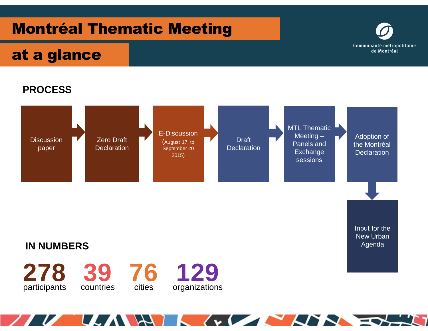## Montréal Thematic Meeting



### at a glance



 $\sqrt{1 + \frac{1}{2}}$ 

**ANN** 

THE EX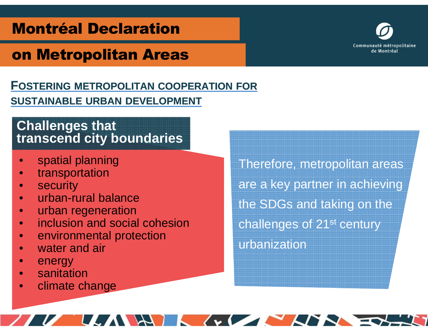### Montréal Declaration

## on Metropolitan Areas

#### **FOSTERING METROPOLITAN COOPERATION FORSUSTAINABLE URBAN DEVELOPMENT**

#### **Challenges thattranscend city boundaries**

- $\bullet$ spatial planning
- •transportation
- •security
- urban-rural balance•
- urban regeneration•
- inclusion and social cohesion•
- •environmental protection
- •water and air
- $\bullet$ energy
- sanitation•
- climate change•

Therefore, metropolitan areas are a key partner in achieving the SDGs and taking on the challenges of 21st century urbanization

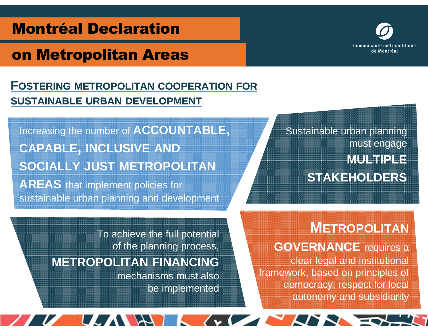### Montréal Declaration

### on Metropolitan Areas

#### **FOSTERING METROPOLITAN COOPERATION FORSUSTAINABLE URBAN DEVELOPMENT**

Increasing the number of **ACCOUNTABLE,CAPABLE, INCLUSIVE AND SOCIALLY JUST METROPOLITANAREAS** that implement policies for sustainable urban planning and development

Sustainable urban planning must engage **MULTIPLESTAKEHOLDERS**

#### **METROPOLITAN**

**GOVERNANCE** requires a clear legal and institutional framework, based on principles of democracy, respect for local autonomy and subsidiarity

To achieve the full potential of the planning process, **METROPOLITAN FINANCING**

 mechanisms must also be implemented

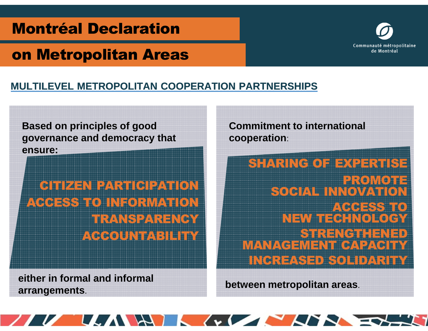### Montréal Declaration

### on Metropolitan Areas

#### **MULTILEVEL METROPOLITAN COOPERATION PARTNERSHIPS**

**Based on principles of good governance and democracy that ensure:**

CITIZEN PARTICIPATION ACCESS TO INFORMATION TRANSPARENCY**ACCOUNTABILITY** 

**either in formal and informal arrangements**.

**Commitment to international cooperation**:

SHARING OF EXPERTISE<br>=========== I PROVINCI PROMOTEI SOCIAL INNOVATIO ACCESS TO<br>NEW TECHNOLOGY<br>STRENGTHENED STRENGTHENED MANAGEMENT CAPACITY INCREASED SOLIDARITY

**between metropolitan areas**.